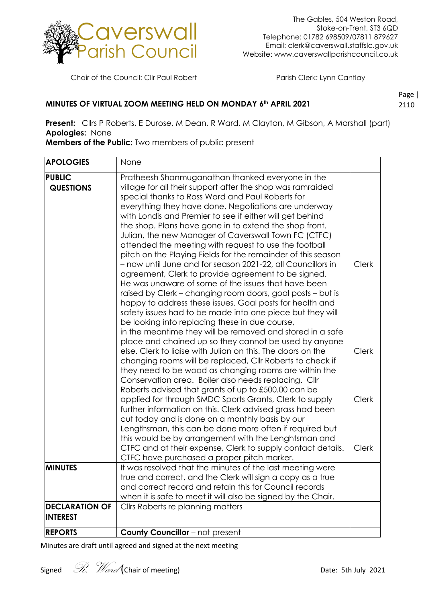

Chair of the Council: Cllr Paul Robert Parish Clerk: Lynn Cantlay

## **MINUTES OF VIRTUAL ZOOM MEETING HELD ON MONDAY 6th APRIL 2021**

Page | 2110

**Present:** Cllrs P Roberts, E Durose, M Dean, R Ward, M Clayton, M Gibson, A Marshall (part) **Apologies:** None

**Members of the Public:** Two members of public present

| <b>APOLOGIES</b>                         | None                                                                                                                                                                                                                                                                                                                                                                                                                                                                                                                                                                                                                                                                                                                                                                                                                                                                                                                                                    |                              |
|------------------------------------------|---------------------------------------------------------------------------------------------------------------------------------------------------------------------------------------------------------------------------------------------------------------------------------------------------------------------------------------------------------------------------------------------------------------------------------------------------------------------------------------------------------------------------------------------------------------------------------------------------------------------------------------------------------------------------------------------------------------------------------------------------------------------------------------------------------------------------------------------------------------------------------------------------------------------------------------------------------|------------------------------|
| <b>PUBLIC</b><br><b>QUESTIONS</b>        | Pratheesh Shanmuganathan thanked everyone in the<br>village for all their support after the shop was ramraided<br>special thanks to Ross Ward and Paul Roberts for<br>everything they have done. Negotiations are underway<br>with Londis and Premier to see if either will get behind<br>the shop. Plans have gone in to extend the shop front.<br>Julian, the new Manager of Caverswall Town FC (CTFC)<br>attended the meeting with request to use the football<br>pitch on the Playing Fields for the remainder of this season<br>- now until June and for season 2021-22, all Councillors in<br>agreement, Clerk to provide agreement to be signed.<br>He was unaware of some of the issues that have been<br>raised by Clerk - changing room doors, goal posts - but is<br>happy to address these issues. Goal posts for health and<br>safety issues had to be made into one piece but they will<br>be looking into replacing these in due course, | <b>Clerk</b>                 |
|                                          | in the meantime they will be removed and stored in a safe<br>place and chained up so they cannot be used by anyone<br>else. Clerk to liaise with Julian on this. The doors on the<br>changing rooms will be replaced, Cllr Roberts to check if<br>they need to be wood as changing rooms are within the<br>Conservation area. Boiler also needs replacing. Cllr                                                                                                                                                                                                                                                                                                                                                                                                                                                                                                                                                                                         | <b>Clerk</b>                 |
|                                          | Roberts advised that grants of up to £500.00 can be<br>applied for through SMDC Sports Grants, Clerk to supply<br>further information on this. Clerk advised grass had been<br>cut today and is done on a monthly basis by our<br>Lengthsman, this can be done more often if required but<br>this would be by arrangement with the Lenghtsman and<br>CTFC and at their expense, Clerk to supply contact details.                                                                                                                                                                                                                                                                                                                                                                                                                                                                                                                                        | <b>Clerk</b><br><b>Clerk</b> |
| <b>MINUTES</b>                           | CTFC have purchased a proper pitch marker.<br>It was resolved that the minutes of the last meeting were<br>true and correct, and the Clerk will sign a copy as a true<br>and correct record and retain this for Council records<br>when it is safe to meet it will also be signed by the Chair.                                                                                                                                                                                                                                                                                                                                                                                                                                                                                                                                                                                                                                                         |                              |
| <b>DECLARATION OF</b><br><b>INTEREST</b> | Cllrs Roberts re planning matters                                                                                                                                                                                                                                                                                                                                                                                                                                                                                                                                                                                                                                                                                                                                                                                                                                                                                                                       |                              |
| <b>REPORTS</b>                           | <b>County Councillor</b> - not present                                                                                                                                                                                                                                                                                                                                                                                                                                                                                                                                                                                                                                                                                                                                                                                                                                                                                                                  |                              |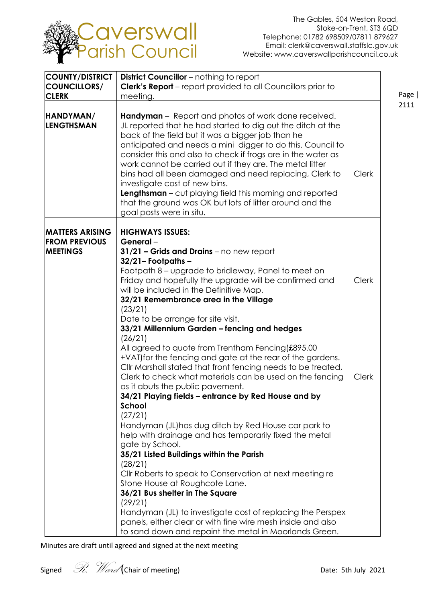

| <b>COUNTY/DISTRICT</b><br>COUNCILLORS/<br><b>CLERK</b>            | <b>District Councillor</b> - nothing to report<br><b>Clerk's Report</b> – report provided to all Councillors prior to<br>meeting.                                                                                                                                                                                                                                                                                                                                                                                                                                                                                                                                                                                                                                                            |                       |  |
|-------------------------------------------------------------------|----------------------------------------------------------------------------------------------------------------------------------------------------------------------------------------------------------------------------------------------------------------------------------------------------------------------------------------------------------------------------------------------------------------------------------------------------------------------------------------------------------------------------------------------------------------------------------------------------------------------------------------------------------------------------------------------------------------------------------------------------------------------------------------------|-----------------------|--|
| HANDYMAN/<br><b>LENGTHSMAN</b>                                    | <b>Handyman</b> – Report and photos of work done received.<br>JL reported that he had started to dig out the ditch at the<br>back of the field but it was a bigger job than he<br>anticipated and needs a mini digger to do this. Council to<br>consider this and also to check if frogs are in the water as<br>work cannot be carried out if they are. The metal litter<br>bins had all been damaged and need replacing, Clerk to<br>investigate cost of new bins.<br><b>Lengthsman</b> - cut playing field this morning and reported<br>that the ground was OK but lots of litter around and the<br>goal posts were in situ.                                                                                                                                                               | <b>Clerk</b>          |  |
| <b>MATTERS ARISING</b><br><b>FROM PREVIOUS</b><br><b>MEETINGS</b> | <b>HIGHWAYS ISSUES:</b><br>General-<br>$31/21$ – Grids and Drains – no new report<br>$32/21 -$ Footpaths $-$<br>Footpath 8 – upgrade to bridleway, Panel to meet on<br>Friday and hopefully the upgrade will be confirmed and<br>will be included in the Definitive Map.<br>32/21 Remembrance area in the Village<br>(23/21)<br>Date to be arrange for site visit.<br>33/21 Millennium Garden - fencing and hedges<br>(26/21)<br>All agreed to quote from Trentham Fencing(£895.00<br>+VAT) for the fencing and gate at the rear of the gardens.<br>Cllr Marshall stated that front fencing needs to be treated,<br>Clerk to check what materials can be used on the fencing<br>as it abuts the public pavement.<br>34/21 Playing fields - entrance by Red House and by<br>School<br>(27/21) | <b>Clerk</b><br>Clerk |  |
|                                                                   | Handyman (JL) has dug ditch by Red House car park to<br>help with drainage and has temporarily fixed the metal<br>gate by School.<br>35/21 Listed Buildings within the Parish<br>(28/21)<br>Cllr Roberts to speak to Conservation at next meeting re<br>Stone House at Roughcote Lane.<br>36/21 Bus shelter in The Square<br>(29/21)<br>Handyman (JL) to investigate cost of replacing the Perspex<br>panels, either clear or with fine wire mesh inside and also<br>to sand down and repaint the metal in Moorlands Green.                                                                                                                                                                                                                                                                  |                       |  |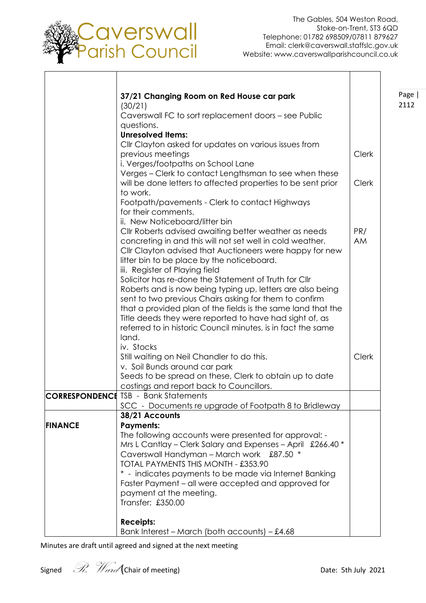

Page | 2112

|                | 37/21 Changing Room on Red House car park<br>(30/21)                             |              |
|----------------|----------------------------------------------------------------------------------|--------------|
|                | Caverswall FC to sort replacement doors – see Public                             |              |
|                | questions.                                                                       |              |
|                | <b>Unresolved Items:</b>                                                         |              |
|                | Cllr Clayton asked for updates on various issues from                            |              |
|                | previous meetings<br>i. Verges/footpaths on School Lane                          | <b>Clerk</b> |
|                | Verges – Clerk to contact Lengthsman to see when these                           |              |
|                | will be done letters to affected properties to be sent prior                     | <b>Clerk</b> |
|                | to work.                                                                         |              |
|                | Footpath/pavements - Clerk to contact Highways                                   |              |
|                | for their comments.                                                              |              |
|                | ii. New Noticeboard/litter bin                                                   |              |
|                | Cllr Roberts advised awaiting better weather as needs                            | PR/          |
|                | concreting in and this will not set well in cold weather.                        | AM           |
|                | Cllr Clayton advised that Auctioneers were happy for new                         |              |
|                | litter bin to be place by the noticeboard.<br>iii. Register of Playing field     |              |
|                | Solicitor has re-done the Statement of Truth for Cllr                            |              |
|                | Roberts and is now being typing up, letters are also being                       |              |
|                | sent to two previous Chairs asking for them to confirm                           |              |
|                | that a provided plan of the fields is the same land that the                     |              |
|                | Title deeds they were reported to have had sight of, as                          |              |
|                | referred to in historic Council minutes, is in fact the same                     |              |
|                | land.                                                                            |              |
|                | iv. Stocks                                                                       | Clerk        |
|                | Still waiting on Neil Chandler to do this.<br>v. Soil Bunds around car park      |              |
|                | Seeds to be spread on these, Clerk to obtain up to date                          |              |
|                | costings and report back to Councillors.                                         |              |
|                | <b>CORRESPONDENCE TSB - Bank Statements</b>                                      |              |
|                | SCC - Documents re upgrade of Footpath 8 to Bridleway                            |              |
|                | 38/21 Accounts                                                                   |              |
| <b>FINANCE</b> | <b>Payments:</b>                                                                 |              |
|                | The following accounts were presented for approval: -                            |              |
|                | Mrs L Cantlay - Clerk Salary and Expenses - April £266.40 *                      |              |
|                | Caverswall Handyman - March work £87.50 *<br>TOTAL PAYMENTS THIS MONTH - £353.90 |              |
|                | * - indicates payments to be made via Internet Banking                           |              |
|                | Faster Payment - all were accepted and approved for                              |              |
|                | payment at the meeting.                                                          |              |
|                | Transfer: £350.00                                                                |              |
|                |                                                                                  |              |
|                | <b>Receipts:</b>                                                                 |              |
|                | Bank Interest – March (both accounts) – £4.68                                    |              |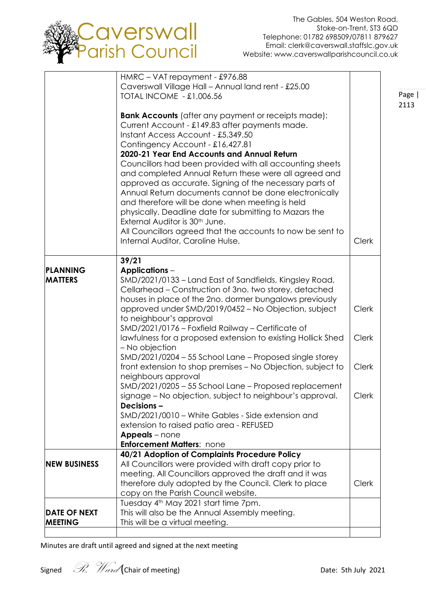

Page | 2113

|                     | HMRC - VAT repayment - £976.88                                                                                                                                                                                                                                                                                                                                                                                                                                                                      |              |
|---------------------|-----------------------------------------------------------------------------------------------------------------------------------------------------------------------------------------------------------------------------------------------------------------------------------------------------------------------------------------------------------------------------------------------------------------------------------------------------------------------------------------------------|--------------|
|                     |                                                                                                                                                                                                                                                                                                                                                                                                                                                                                                     |              |
|                     | Caverswall Village Hall - Annual land rent - £25.00                                                                                                                                                                                                                                                                                                                                                                                                                                                 |              |
|                     | <b>TOTAL INCOME - £1,006.56</b>                                                                                                                                                                                                                                                                                                                                                                                                                                                                     |              |
|                     | <b>Bank Accounts</b> (after any payment or receipts made):<br>Current Account - £149.83 after payments made.<br>Instant Access Account - £5,349.50                                                                                                                                                                                                                                                                                                                                                  |              |
|                     | Contingency Account - £16,427.81                                                                                                                                                                                                                                                                                                                                                                                                                                                                    |              |
|                     | 2020-21 Year End Accounts and Annual Return                                                                                                                                                                                                                                                                                                                                                                                                                                                         |              |
|                     | Councillors had been provided with all accounting sheets<br>and completed Annual Return these were all agreed and<br>approved as accurate. Signing of the necessary parts of<br>Annual Return documents cannot be done electronically<br>and therefore will be done when meeting is held<br>physically. Deadline date for submitting to Mazars the<br>External Auditor is 30 <sup>th</sup> June.<br>All Councillors agreed that the accounts to now be sent to<br>Internal Auditor, Caroline Hulse. | <b>Clerk</b> |
|                     |                                                                                                                                                                                                                                                                                                                                                                                                                                                                                                     |              |
|                     | 39/21                                                                                                                                                                                                                                                                                                                                                                                                                                                                                               |              |
| PLANNING            | <b>Applications –</b>                                                                                                                                                                                                                                                                                                                                                                                                                                                                               |              |
| <b>MATTERS</b>      | SMD/2021/0133 – Land East of Sandfields, Kingsley Road,                                                                                                                                                                                                                                                                                                                                                                                                                                             |              |
|                     | Cellarhead – Construction of 3no. two storey, detached                                                                                                                                                                                                                                                                                                                                                                                                                                              |              |
|                     | houses in place of the 2no. dormer bungalows previously                                                                                                                                                                                                                                                                                                                                                                                                                                             |              |
|                     | approved under SMD/2019/0452 - No Objection, subject                                                                                                                                                                                                                                                                                                                                                                                                                                                | <b>Clerk</b> |
|                     | to neighbour's approval                                                                                                                                                                                                                                                                                                                                                                                                                                                                             |              |
|                     | SMD/2021/0176 - Foxfield Railway - Certificate of                                                                                                                                                                                                                                                                                                                                                                                                                                                   |              |
|                     | lawfulness for a proposed extension to existing Hollick Shed                                                                                                                                                                                                                                                                                                                                                                                                                                        | <b>Clerk</b> |
|                     | - No objection                                                                                                                                                                                                                                                                                                                                                                                                                                                                                      |              |
|                     | SMD/2021/0204 - 55 School Lane - Proposed single storey                                                                                                                                                                                                                                                                                                                                                                                                                                             |              |
|                     | front extension to shop premises - No Objection, subject to                                                                                                                                                                                                                                                                                                                                                                                                                                         | <b>Clerk</b> |
|                     | neighbours approval                                                                                                                                                                                                                                                                                                                                                                                                                                                                                 |              |
|                     | SMD/2021/0205 - 55 School Lane - Proposed replacement                                                                                                                                                                                                                                                                                                                                                                                                                                               |              |
|                     | signage – No objection, subject to neighbour's approval.                                                                                                                                                                                                                                                                                                                                                                                                                                            | <b>Clerk</b> |
|                     | Decisions-                                                                                                                                                                                                                                                                                                                                                                                                                                                                                          |              |
|                     | SMD/2021/0010 - White Gables - Side extension and                                                                                                                                                                                                                                                                                                                                                                                                                                                   |              |
|                     |                                                                                                                                                                                                                                                                                                                                                                                                                                                                                                     |              |
|                     | extension to raised patio area - REFUSED                                                                                                                                                                                                                                                                                                                                                                                                                                                            |              |
|                     | Appeals - none<br><b>Enforcement Matters: none</b>                                                                                                                                                                                                                                                                                                                                                                                                                                                  |              |
|                     |                                                                                                                                                                                                                                                                                                                                                                                                                                                                                                     |              |
|                     | 40/21 Adoption of Complaints Procedure Policy                                                                                                                                                                                                                                                                                                                                                                                                                                                       |              |
| <b>NEW BUSINESS</b> | All Councillors were provided with draft copy prior to                                                                                                                                                                                                                                                                                                                                                                                                                                              |              |
|                     | meeting. All Councillors approved the draft and it was                                                                                                                                                                                                                                                                                                                                                                                                                                              |              |
|                     |                                                                                                                                                                                                                                                                                                                                                                                                                                                                                                     |              |
|                     |                                                                                                                                                                                                                                                                                                                                                                                                                                                                                                     |              |
|                     |                                                                                                                                                                                                                                                                                                                                                                                                                                                                                                     |              |
| <b>DATE OF NEXT</b> |                                                                                                                                                                                                                                                                                                                                                                                                                                                                                                     |              |
| <b>MEETING</b>      | This will be a virtual meeting.                                                                                                                                                                                                                                                                                                                                                                                                                                                                     |              |
|                     | therefore duly adopted by the Council. Clerk to place<br>copy on the Parish Council website.<br>Tuesday 4 <sup>th</sup> May 2021 start time 7pm.<br>This will also be the Annual Assembly meeting.                                                                                                                                                                                                                                                                                                  | <b>Clerk</b> |
|                     |                                                                                                                                                                                                                                                                                                                                                                                                                                                                                                     |              |
|                     |                                                                                                                                                                                                                                                                                                                                                                                                                                                                                                     |              |